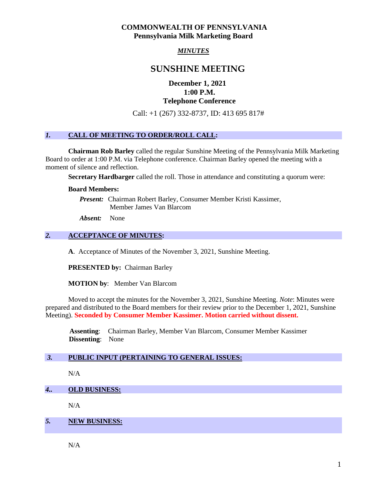## **COMMONWEALTH OF PENNSYLVANIA Pennsylvania Milk Marketing Board**

# *MINUTES*

# **SUNSHINE MEETING**

# **December 1, 2021 1:00 P.M. Telephone Conference**

Call: +1 (267) 332-8737, ID: 413 695 817#

# *1.* **CALL OF MEETING TO ORDER/ROLL CALL:**

**Chairman Rob Barley** called the regular Sunshine Meeting of the Pennsylvania Milk Marketing Board to order at 1:00 P.M. via Telephone conference. Chairman Barley opened the meeting with a moment of silence and reflection.

**Secretary Hardbarger** called the roll. Those in attendance and constituting a quorum were:

#### **Board Members:**

*Present:* Chairman Robert Barley, Consumer Member Kristi Kassimer, Member James Van Blarcom

*Absent:* None

### *2.* **ACCEPTANCE OF MINUTES:**

**A**. Acceptance of Minutes of the November 3, 2021, Sunshine Meeting.

**PRESENTED by:** Chairman Barley

**MOTION by**: Member Van Blarcom

Moved to accept the minutes for the November 3, 2021, Sunshine Meeting. *Note*: Minutes were prepared and distributed to the Board members for their review prior to the December 1, 2021, Sunshine Meeting). **Seconded by Consumer Member Kassimer. Motion carried without dissent.**

 **Assenting**: Chairman Barley, Member Van Blarcom, Consumer Member Kassimer **Dissenting**: None

#### *3.* **PUBLIC INPUT (PERTAINING TO GENERAL ISSUES:**

 $N/A$ 

*4..* **OLD BUSINESS:**

 $N/A$ 

#### *5.* **NEW BUSINESS:**

N/A